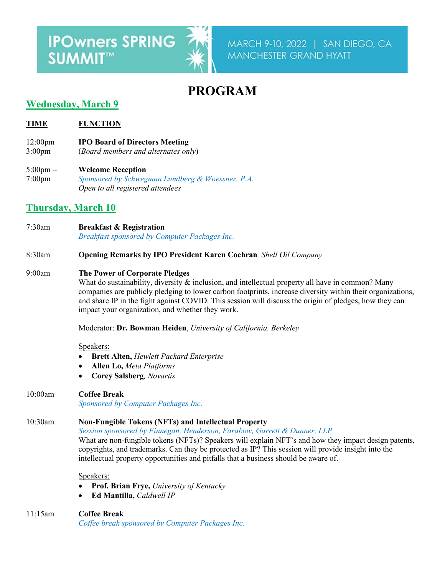# **IPOwners SPRING** SUMMIT™

## **PROGRAM**

## **Wednesday, March 9**

**TIME FUNCTION**

- 12:00pm **IPO Board of Directors Meeting**
- 3:00pm (*Board members and alternates only*)
- 5:00pm **Welcome Reception**  7:00pm *Sponsored by Schwegman Lundberg & Woessner, P.A. Open to all registered attendees*

## **Thursday, March 10**

- 7:30am **Breakfast & Registration** *Breakfast sponsored by Computer Packages Inc.*
- 8:30am **Opening Remarks by IPO President Karen Cochran***, Shell Oil Company*

### 9:00am **The Power of Corporate Pledges**

What do sustainability, diversity & inclusion, and intellectual property all have in common? Many companies are publicly pledging to lower carbon footprints, increase diversity within their organizations, and share IP in the fight against COVID. This session will discuss the origin of pledges, how they can impact your organization, and whether they work.

Moderator: **Dr. Bowman Heiden**, *University of California, Berkeley*

#### Speakers:

- **Brett Alten,** *Hewlett Packard Enterprise*
- **Allen Lo,** *Meta Platforms*
- **Corey Salsberg***, Novartis*

## 10:00am **Coffee Break**

*Sponsored by Computer Packages Inc.*

## 10:30am **Non-Fungible Tokens (NFTs) and Intellectual Property**

*Session sponsored by Finnegan, Henderson, Farabow, Garrett & Dunner, LLP*

What are non-fungible tokens (NFTs)? Speakers will explain NFT's and how they impact design patents, copyrights, and trademarks. Can they be protected as IP? This session will provide insight into the intellectual property opportunities and pitfalls that a business should be aware of.

#### Speakers:

- **Prof. Brian Frye,** *University of Kentucky*
- **Ed Mantilla,** *Caldwell IP*
- 11:15am **Coffee Break** *Coffee break sponsored by Computer Packages Inc.*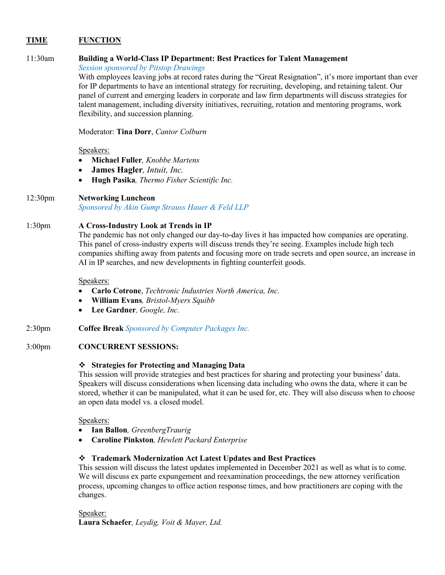#### **TIME FUNCTION**

#### 11:30am **Building a World-Class IP Department: Best Practices for Talent Management**

*Session sponsored by Pitstop Drawings*

With employees leaving jobs at record rates during the "Great Resignation", it's more important than ever for IP departments to have an intentional strategy for recruiting, developing, and retaining talent. Our panel of current and emerging leaders in corporate and law firm departments will discuss strategies for talent management, including diversity initiatives, recruiting, rotation and mentoring programs, work flexibility, and succession planning.

Moderator: **Tina Dorr**, *Cantor Colburn*

#### Speakers:

- **Michael Fuller***, Knobbe Martens*
- **James Hagler***, Intuit, Inc.*
- **Hugh Pasika***, Thermo Fisher Scientific Inc.*

#### 12:30pm **Networking Luncheon**

*Sponsored by Akin Gump Strauss Hauer & Feld LLP*

#### 1:30pm **A Cross-Industry Look at Trends in IP**

The pandemic has not only changed our day-to-day lives it has impacted how companies are operating. This panel of cross-industry experts will discuss trends they're seeing. Examples include high tech companies shifting away from patents and focusing more on trade secrets and open source, an increase in AI in IP searches, and new developments in fighting counterfeit goods.

Speakers:

- **Carlo Cotrone**, *Techtronic Industries North America, Inc.*
- **William Evans***, Bristol-Myers Squibb*
- **Lee Gardner***, Google, Inc.*
- 2:30pm **Coffee Break** *Sponsored by Computer Packages Inc.*

#### 3:00pm **CONCURRENT SESSIONS:**

#### **Strategies for Protecting and Managing Data**

This session will provide strategies and best practices for sharing and protecting your business' data. Speakers will discuss considerations when licensing data including who owns the data, where it can be stored, whether it can be manipulated, what it can be used for, etc. They will also discuss when to choose an open data model vs. a closed model.

#### Speakers:

- **Ian Ballon***, GreenbergTraurig*
- **Caroline Pinkston***, Hewlett Packard Enterprise*

#### **Trademark Modernization Act Latest Updates and Best Practices**

This session will discuss the latest updates implemented in December 2021 as well as what is to come. We will discuss ex parte expungement and reexamination proceedings, the new attorney verification process, upcoming changes to office action response times, and how practitioners are coping with the changes.

Speaker: **Laura Schaefer***, Leydig, Voit & Mayer, Ltd.*